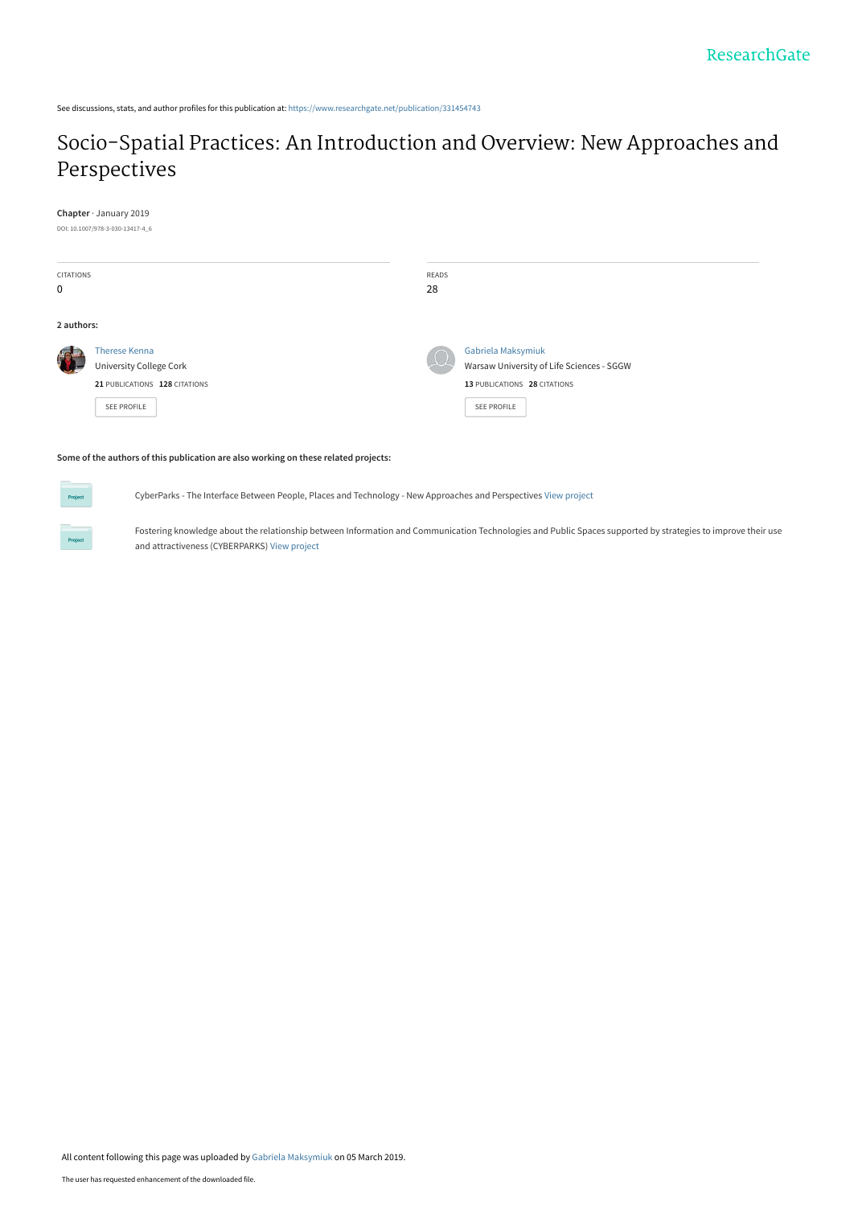See discussions, stats, and author profiles for this publication at: [https://www.researchgate.net/publication/331454743](https://www.researchgate.net/publication/331454743_Socio-Spatial_Practices_An_Introduction_and_Overview_New_Approaches_and_Perspectives?enrichId=rgreq-20fcf2e710d42365d86a297bb1588bee-XXX&enrichSource=Y292ZXJQYWdlOzMzMTQ1NDc0MztBUzo3MzMwNjEwMzM0OTY1NzdAMTU1MTc4Njc3ODQxOQ%3D%3D&el=1_x_2&_esc=publicationCoverPdf)

# [Socio-Spatial Practices: An Introduction and Overview: New Approaches and](https://www.researchgate.net/publication/331454743_Socio-Spatial_Practices_An_Introduction_and_Overview_New_Approaches_and_Perspectives?enrichId=rgreq-20fcf2e710d42365d86a297bb1588bee-XXX&enrichSource=Y292ZXJQYWdlOzMzMTQ1NDc0MztBUzo3MzMwNjEwMzM0OTY1NzdAMTU1MTc4Njc3ODQxOQ%3D%3D&el=1_x_3&_esc=publicationCoverPdf) Perspectives

**Chapter** · January 2019

DOI: 10.1007/978-3-030-13417-4\_6

| <b>CITATIONS</b><br>0 |                                                                                                        | <b>READS</b><br>28 |                                                                                                                       |
|-----------------------|--------------------------------------------------------------------------------------------------------|--------------------|-----------------------------------------------------------------------------------------------------------------------|
| 2 authors:            |                                                                                                        |                    |                                                                                                                       |
| F                     | <b>Therese Kenna</b><br>University College Cork<br>21 PUBLICATIONS 128 CITATIONS<br><b>SEE PROFILE</b> |                    | Gabriela Maksymiuk<br>Warsaw University of Life Sciences - SGGW<br>13 PUBLICATIONS 28 CITATIONS<br><b>SEE PROFILE</b> |

#### **Some of the authors of this publication are also working on these related projects:**

CyberParks - The Interface Between People, Places and Technology - New Approaches and Perspectives [View project](https://www.researchgate.net/project/CyberParks-The-Interface-Between-People-Places-and-Technology-New-Approaches-and-Perspectives?enrichId=rgreq-20fcf2e710d42365d86a297bb1588bee-XXX&enrichSource=Y292ZXJQYWdlOzMzMTQ1NDc0MztBUzo3MzMwNjEwMzM0OTY1NzdAMTU1MTc4Njc3ODQxOQ%3D%3D&el=1_x_9&_esc=publicationCoverPdf)

Fostering knowledge about the relationship between Information and Communication Technologies and Public Spaces supported by strategies to improve their use and attractiveness (CYBERPARKS) [View project](https://www.researchgate.net/project/Fostering-knowledge-about-the-relationship-between-Information-and-Communication-Technologies-and-Public-Spaces-supported-by-strategies-to-improve-their-use-and-attractiveness-CYBERPARKS?enrichId=rgreq-20fcf2e710d42365d86a297bb1588bee-XXX&enrichSource=Y292ZXJQYWdlOzMzMTQ1NDc0MztBUzo3MzMwNjEwMzM0OTY1NzdAMTU1MTc4Njc3ODQxOQ%3D%3D&el=1_x_9&_esc=publicationCoverPdf)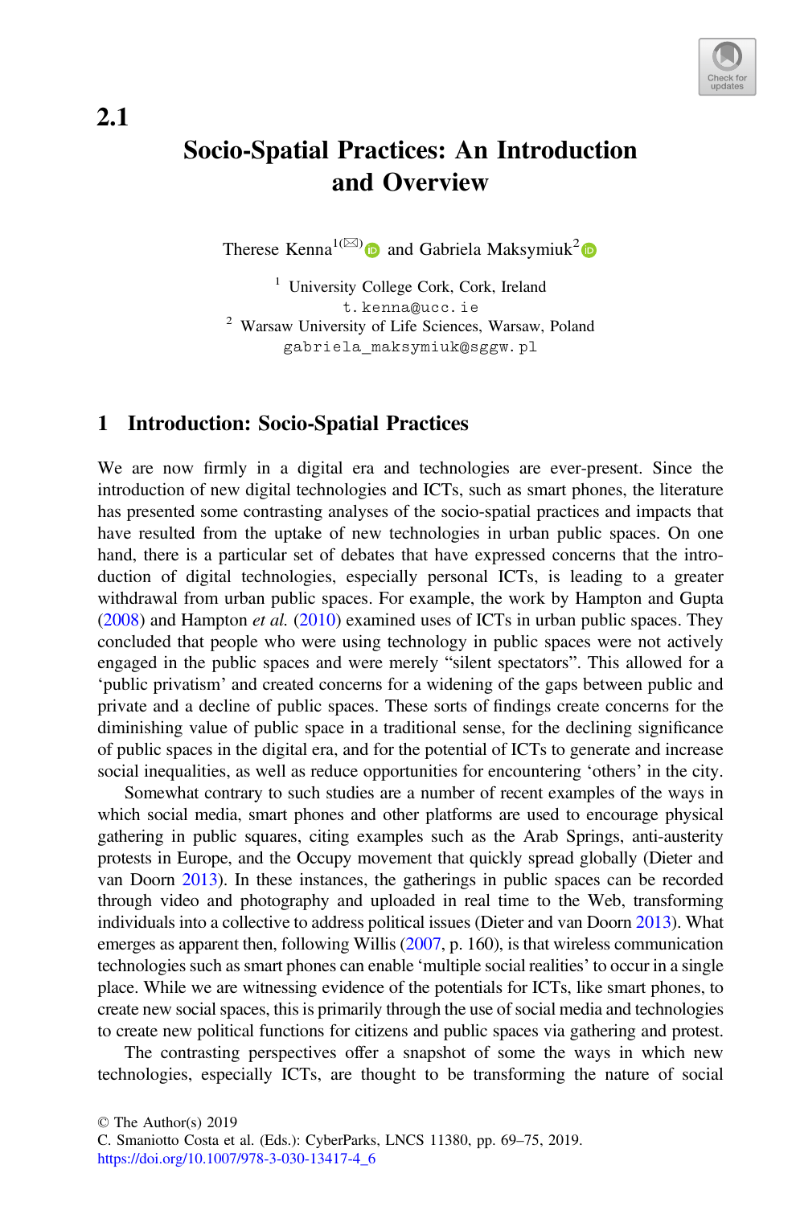

## Socio-Spatial Practices: An Introduction and Overview

Therese Kenna<sup>1( $\boxtimes$ [\)](http://orcid.org/0000-0002-9864-7245)</sup> and Gabriela Maksymiuk<sup>[2](http://orcid.org/0000-0002-5698-2029)</sup>

<sup>1</sup> University College Cork, Cork, Ireland<br>t. kenna@ucc. ie <sup>2</sup> Warsaw University of Life Sciences, Warsaw, Poland gabriela maksymiuk@sggw.pl  $\frac{1}{2}$  galaxies  $\frac{1}{2}$ 

### 1 Introduction: Socio-Spatial Practices

We are now firmly in a digital era and technologies are ever-present. Since the introduction of new digital technologies and ICTs, such as smart phones, the literature has presented some contrasting analyses of the socio-spatial practices and impacts that have resulted from the uptake of new technologies in urban public spaces. On one hand, there is a particular set of debates that have expressed concerns that the introduction of digital technologies, especially personal ICTs, is leading to a greater withdrawal from urban public spaces. For example, the work by Hampton and Gupta  $(2008)$  $(2008)$  and Hampton *et al.*  $(2010)$  $(2010)$  examined uses of ICTs in urban public spaces. They concluded that people who were using technology in public spaces were not actively engaged in the public spaces and were merely "silent spectators". This allowed for a 'public privatism' and created concerns for a widening of the gaps between public and private and a decline of public spaces. These sorts of findings create concerns for the diminishing value of public space in a traditional sense, for the declining significance of public spaces in the digital era, and for the potential of ICTs to generate and increase social inequalities, as well as reduce opportunities for encountering 'others' in the city.

Somewhat contrary to such studies are a number of recent examples of the ways in which social media, smart phones and other platforms are used to encourage physical gathering in public squares, citing examples such as the Arab Springs, anti-austerity protests in Europe, and the Occupy movement that quickly spread globally (Dieter and van Doorn [2013](#page-6-0)). In these instances, the gatherings in public spaces can be recorded through video and photography and uploaded in real time to the Web, transforming individuals into a collective to address political issues (Dieter and van Doorn [2013\)](#page-6-0). What emerges as apparent then, following Willis [\(2007,](#page-6-0) p. 160), is that wireless communication technologies such as smart phones can enable 'multiple social realities' to occur in a single place. While we are witnessing evidence of the potentials for ICTs, like smart phones, to create new social spaces, this is primarily through the use of social media and technologies to create new political functions for citizens and public spaces via gathering and protest.

The contrasting perspectives offer a snapshot of some the ways in which new technologies, especially ICTs, are thought to be transforming the nature of social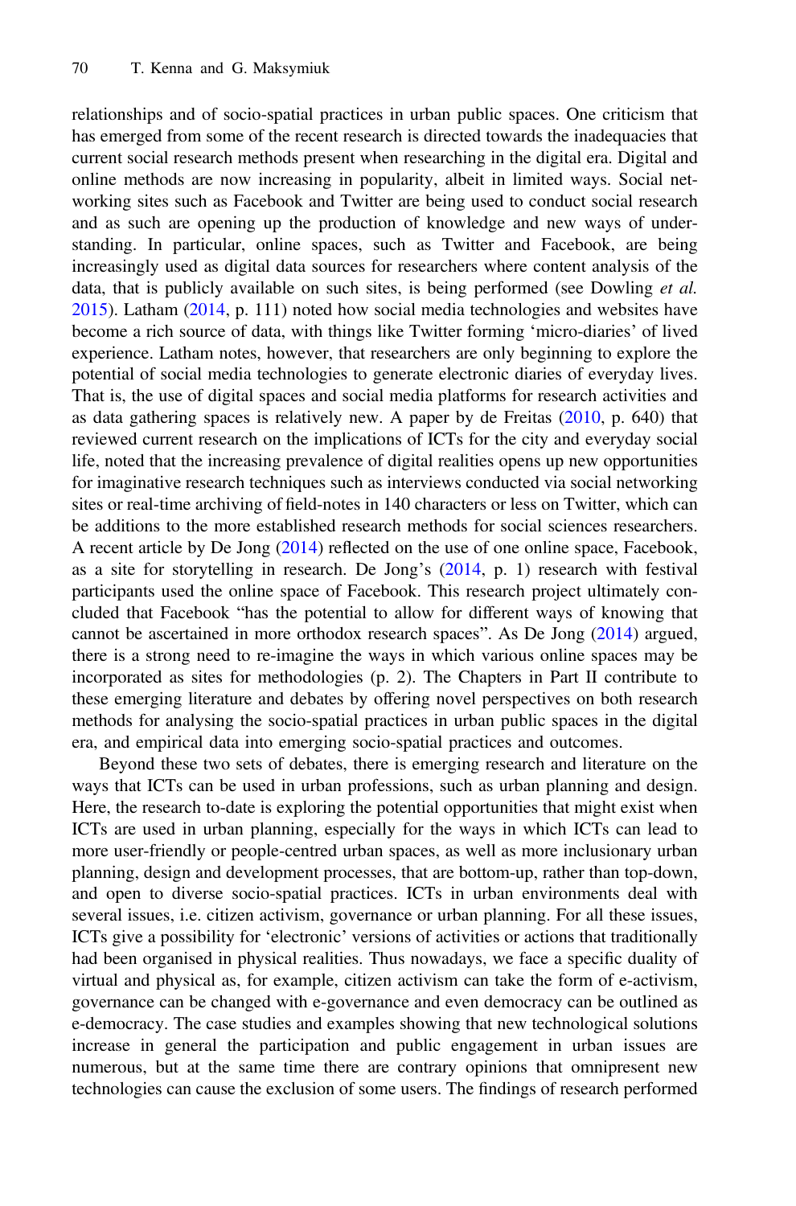relationships and of socio-spatial practices in urban public spaces. One criticism that has emerged from some of the recent research is directed towards the inadequacies that current social research methods present when researching in the digital era. Digital and online methods are now increasing in popularity, albeit in limited ways. Social networking sites such as Facebook and Twitter are being used to conduct social research and as such are opening up the production of knowledge and new ways of understanding. In particular, online spaces, such as Twitter and Facebook, are being increasingly used as digital data sources for researchers where content analysis of the data, that is publicly available on such sites, is being performed (see Dowling *et al.*) [2015\)](#page-6-0). Latham ([2014,](#page-6-0) p. 111) noted how social media technologies and websites have become a rich source of data, with things like Twitter forming 'micro-diaries' of lived experience. Latham notes, however, that researchers are only beginning to explore the potential of social media technologies to generate electronic diaries of everyday lives. That is, the use of digital spaces and social media platforms for research activities and as data gathering spaces is relatively new. A paper by de Freitas ([2010,](#page-6-0) p. 640) that reviewed current research on the implications of ICTs for the city and everyday social life, noted that the increasing prevalence of digital realities opens up new opportunities for imaginative research techniques such as interviews conducted via social networking sites or real-time archiving of field-notes in 140 characters or less on Twitter, which can be additions to the more established research methods for social sciences researchers. A recent article by De Jong [\(2014](#page-6-0)) reflected on the use of one online space, Facebook, as a site for storytelling in research. De Jong's ([2014,](#page-6-0) p. 1) research with festival participants used the online space of Facebook. This research project ultimately concluded that Facebook "has the potential to allow for different ways of knowing that cannot be ascertained in more orthodox research spaces". As De Jong ([2014\)](#page-6-0) argued, there is a strong need to re-imagine the ways in which various online spaces may be incorporated as sites for methodologies (p. 2). The Chapters in Part II contribute to these emerging literature and debates by offering novel perspectives on both research methods for analysing the socio-spatial practices in urban public spaces in the digital era, and empirical data into emerging socio-spatial practices and outcomes.

Beyond these two sets of debates, there is emerging research and literature on the ways that ICTs can be used in urban professions, such as urban planning and design. Here, the research to-date is exploring the potential opportunities that might exist when ICTs are used in urban planning, especially for the ways in which ICTs can lead to more user-friendly or people-centred urban spaces, as well as more inclusionary urban planning, design and development processes, that are bottom-up, rather than top-down, and open to diverse socio-spatial practices. ICTs in urban environments deal with several issues, i.e. citizen activism, governance or urban planning. For all these issues, ICTs give a possibility for 'electronic' versions of activities or actions that traditionally had been organised in physical realities. Thus nowadays, we face a specific duality of virtual and physical as, for example, citizen activism can take the form of e-activism, governance can be changed with e-governance and even democracy can be outlined as e-democracy. The case studies and examples showing that new technological solutions increase in general the participation and public engagement in urban issues are numerous, but at the same time there are contrary opinions that omnipresent new technologies can cause the exclusion of some users. The findings of research performed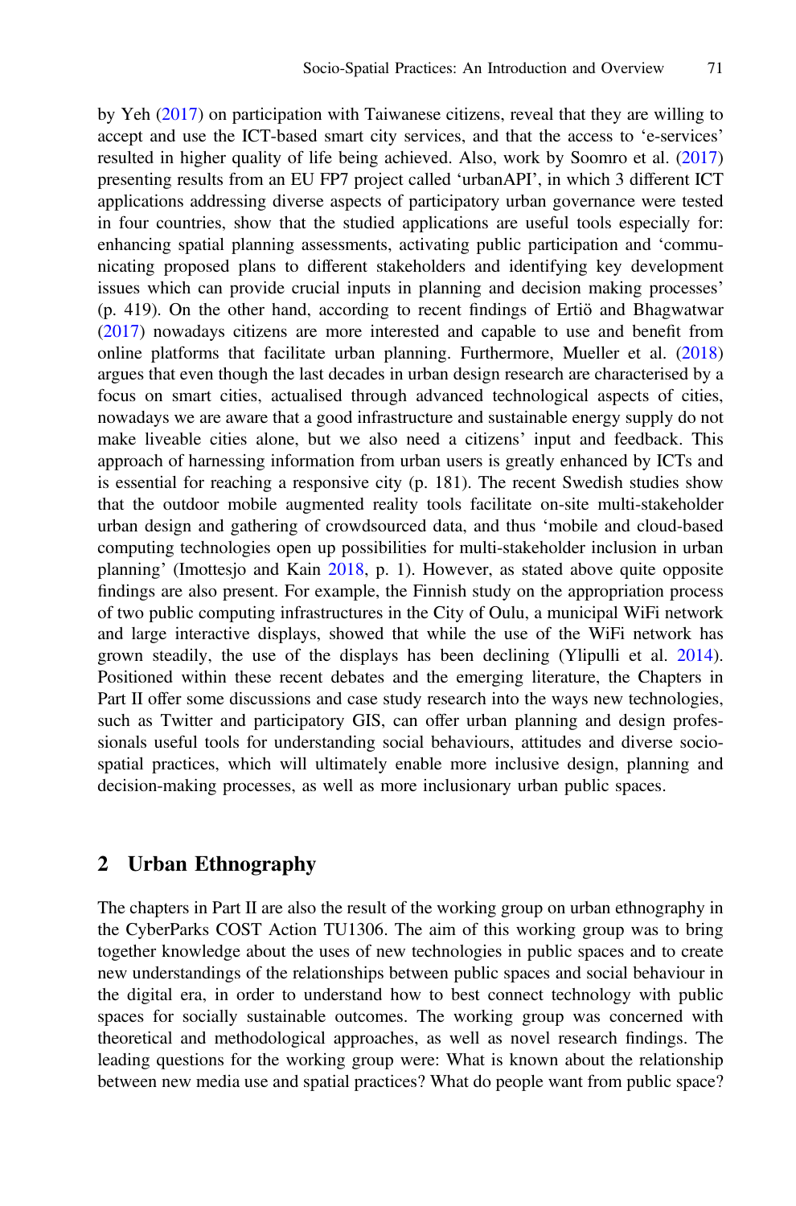by Yeh [\(2017](#page-6-0)) on participation with Taiwanese citizens, reveal that they are willing to accept and use the ICT-based smart city services, and that the access to 'e-services' resulted in higher quality of life being achieved. Also, work by Soomro et al. [\(2017](#page-6-0)) presenting results from an EU FP7 project called 'urbanAPI', in which 3 different ICT applications addressing diverse aspects of participatory urban governance were tested in four countries, show that the studied applications are useful tools especially for: enhancing spatial planning assessments, activating public participation and 'communicating proposed plans to different stakeholders and identifying key development issues which can provide crucial inputs in planning and decision making processes' (p. 419). On the other hand, according to recent findings of Ertiö and Bhagwatwar [\(2017](#page-6-0)) nowadays citizens are more interested and capable to use and benefit from online platforms that facilitate urban planning. Furthermore, Mueller et al. [\(2018](#page-6-0)) argues that even though the last decades in urban design research are characterised by a focus on smart cities, actualised through advanced technological aspects of cities, nowadays we are aware that a good infrastructure and sustainable energy supply do not make liveable cities alone, but we also need a citizens' input and feedback. This approach of harnessing information from urban users is greatly enhanced by ICTs and is essential for reaching a responsive city (p. 181). The recent Swedish studies show that the outdoor mobile augmented reality tools facilitate on-site multi-stakeholder urban design and gathering of crowdsourced data, and thus 'mobile and cloud-based computing technologies open up possibilities for multi-stakeholder inclusion in urban planning' (Imottesjo and Kain [2018](#page-6-0), p. 1). However, as stated above quite opposite findings are also present. For example, the Finnish study on the appropriation process of two public computing infrastructures in the City of Oulu, a municipal WiFi network and large interactive displays, showed that while the use of the WiFi network has grown steadily, the use of the displays has been declining (Ylipulli et al. [2014\)](#page-6-0). Positioned within these recent debates and the emerging literature, the Chapters in Part II offer some discussions and case study research into the ways new technologies, such as Twitter and participatory GIS, can offer urban planning and design professionals useful tools for understanding social behaviours, attitudes and diverse sociospatial practices, which will ultimately enable more inclusive design, planning and decision-making processes, as well as more inclusionary urban public spaces.

#### 2 Urban Ethnography

The chapters in Part II are also the result of the working group on urban ethnography in the CyberParks COST Action TU1306. The aim of this working group was to bring together knowledge about the uses of new technologies in public spaces and to create new understandings of the relationships between public spaces and social behaviour in the digital era, in order to understand how to best connect technology with public spaces for socially sustainable outcomes. The working group was concerned with theoretical and methodological approaches, as well as novel research findings. The leading questions for the working group were: What is known about the relationship between new media use and spatial practices? What do people want from public space?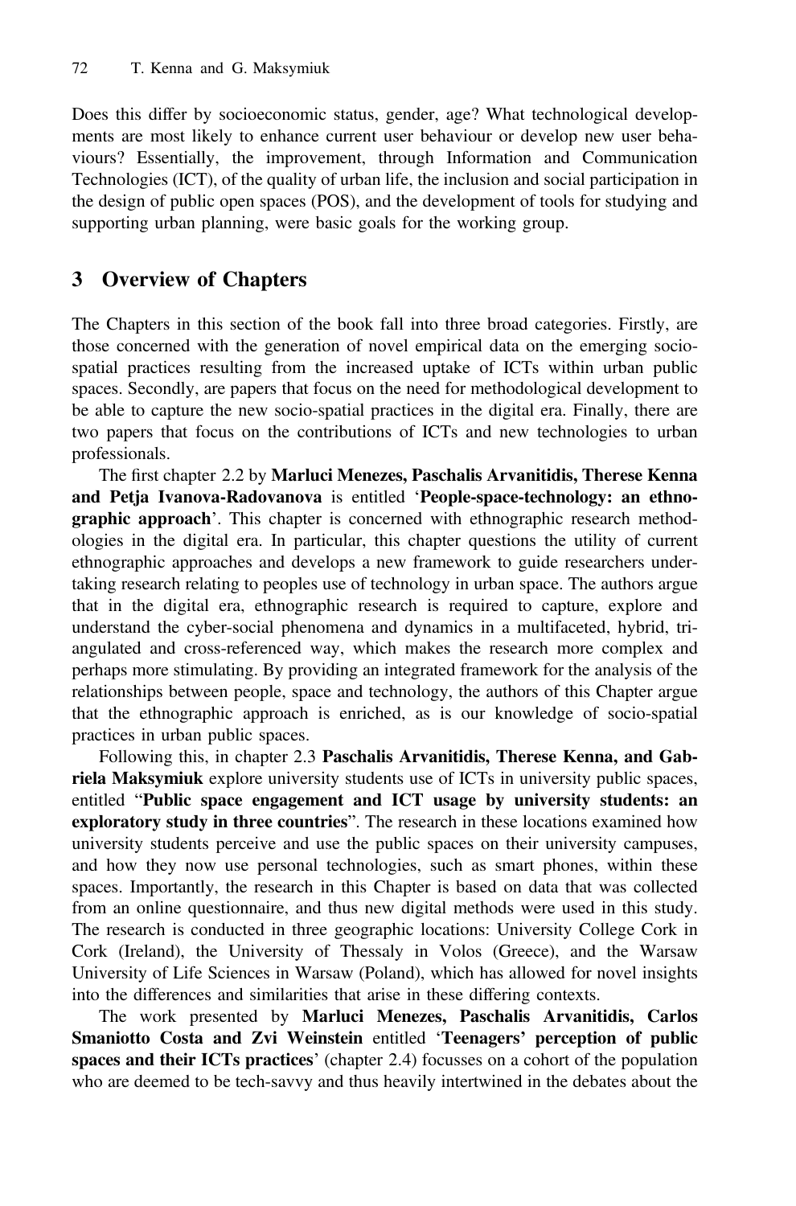Does this differ by socioeconomic status, gender, age? What technological developments are most likely to enhance current user behaviour or develop new user behaviours? Essentially, the improvement, through Information and Communication Technologies (ICT), of the quality of urban life, the inclusion and social participation in the design of public open spaces (POS), and the development of tools for studying and supporting urban planning, were basic goals for the working group.

#### 3 Overview of Chapters

The Chapters in this section of the book fall into three broad categories. Firstly, are those concerned with the generation of novel empirical data on the emerging sociospatial practices resulting from the increased uptake of ICTs within urban public spaces. Secondly, are papers that focus on the need for methodological development to be able to capture the new socio-spatial practices in the digital era. Finally, there are two papers that focus on the contributions of ICTs and new technologies to urban professionals.

The first chapter 2.2 by Marluci Menezes, Paschalis Arvanitidis, Therese Kenna and Petja Ivanova-Radovanova is entitled 'People-space-technology: an ethnographic approach'. This chapter is concerned with ethnographic research methodologies in the digital era. In particular, this chapter questions the utility of current ethnographic approaches and develops a new framework to guide researchers undertaking research relating to peoples use of technology in urban space. The authors argue that in the digital era, ethnographic research is required to capture, explore and understand the cyber-social phenomena and dynamics in a multifaceted, hybrid, triangulated and cross-referenced way, which makes the research more complex and perhaps more stimulating. By providing an integrated framework for the analysis of the relationships between people, space and technology, the authors of this Chapter argue that the ethnographic approach is enriched, as is our knowledge of socio-spatial practices in urban public spaces.

Following this, in chapter 2.3 Paschalis Arvanitidis, Therese Kenna, and Gabriela Maksymiuk explore university students use of ICTs in university public spaces, entitled "Public space engagement and ICT usage by university students: an exploratory study in three countries". The research in these locations examined how university students perceive and use the public spaces on their university campuses, and how they now use personal technologies, such as smart phones, within these spaces. Importantly, the research in this Chapter is based on data that was collected from an online questionnaire, and thus new digital methods were used in this study. The research is conducted in three geographic locations: University College Cork in Cork (Ireland), the University of Thessaly in Volos (Greece), and the Warsaw University of Life Sciences in Warsaw (Poland), which has allowed for novel insights into the differences and similarities that arise in these differing contexts.

The work presented by Marluci Menezes, Paschalis Arvanitidis, Carlos Smaniotto Costa and Zvi Weinstein entitled 'Teenagers' perception of public spaces and their ICTs practices' (chapter 2.4) focusses on a cohort of the population who are deemed to be tech-savvy and thus heavily intertwined in the debates about the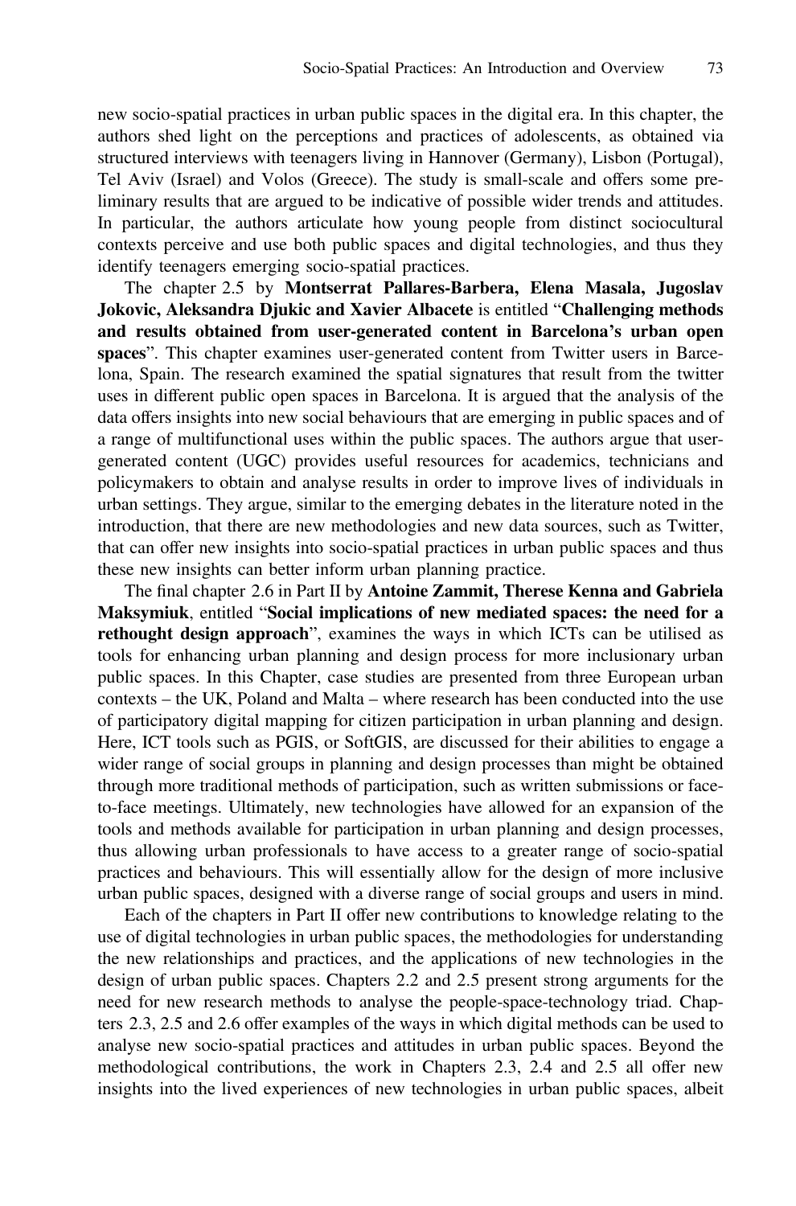new socio-spatial practices in urban public spaces in the digital era. In this chapter, the authors shed light on the perceptions and practices of adolescents, as obtained via structured interviews with teenagers living in Hannover (Germany), Lisbon (Portugal), Tel Aviv (Israel) and Volos (Greece). The study is small-scale and offers some preliminary results that are argued to be indicative of possible wider trends and attitudes. In particular, the authors articulate how young people from distinct sociocultural contexts perceive and use both public spaces and digital technologies, and thus they identify teenagers emerging socio-spatial practices.

The chapter 2.5 by Montserrat Pallares-Barbera, Elena Masala, Jugoslav Jokovic, Aleksandra Djukic and Xavier Albacete is entitled "Challenging methods and results obtained from user-generated content in Barcelona's urban open spaces". This chapter examines user-generated content from Twitter users in Barcelona, Spain. The research examined the spatial signatures that result from the twitter uses in different public open spaces in Barcelona. It is argued that the analysis of the data offers insights into new social behaviours that are emerging in public spaces and of a range of multifunctional uses within the public spaces. The authors argue that usergenerated content (UGC) provides useful resources for academics, technicians and policymakers to obtain and analyse results in order to improve lives of individuals in urban settings. They argue, similar to the emerging debates in the literature noted in the introduction, that there are new methodologies and new data sources, such as Twitter, that can offer new insights into socio-spatial practices in urban public spaces and thus these new insights can better inform urban planning practice.

The final chapter 2.6 in Part II by Antoine Zammit, Therese Kenna and Gabriela Maksymiuk, entitled "Social implications of new mediated spaces: the need for a rethought design approach", examines the ways in which ICTs can be utilised as tools for enhancing urban planning and design process for more inclusionary urban public spaces. In this Chapter, case studies are presented from three European urban contexts – the UK, Poland and Malta – where research has been conducted into the use of participatory digital mapping for citizen participation in urban planning and design. Here, ICT tools such as PGIS, or SoftGIS, are discussed for their abilities to engage a wider range of social groups in planning and design processes than might be obtained through more traditional methods of participation, such as written submissions or faceto-face meetings. Ultimately, new technologies have allowed for an expansion of the tools and methods available for participation in urban planning and design processes, thus allowing urban professionals to have access to a greater range of socio-spatial practices and behaviours. This will essentially allow for the design of more inclusive urban public spaces, designed with a diverse range of social groups and users in mind.

Each of the chapters in Part II offer new contributions to knowledge relating to the use of digital technologies in urban public spaces, the methodologies for understanding the new relationships and practices, and the applications of new technologies in the design of urban public spaces. Chapters 2.2 and 2.5 present strong arguments for the need for new research methods to analyse the people-space-technology triad. Chapters 2.3, 2.5 and 2.6 offer examples of the ways in which digital methods can be used to analyse new socio-spatial practices and attitudes in urban public spaces. Beyond the methodological contributions, the work in Chapters 2.3, 2.4 and 2.5 all offer new insights into the lived experiences of new technologies in urban public spaces, albeit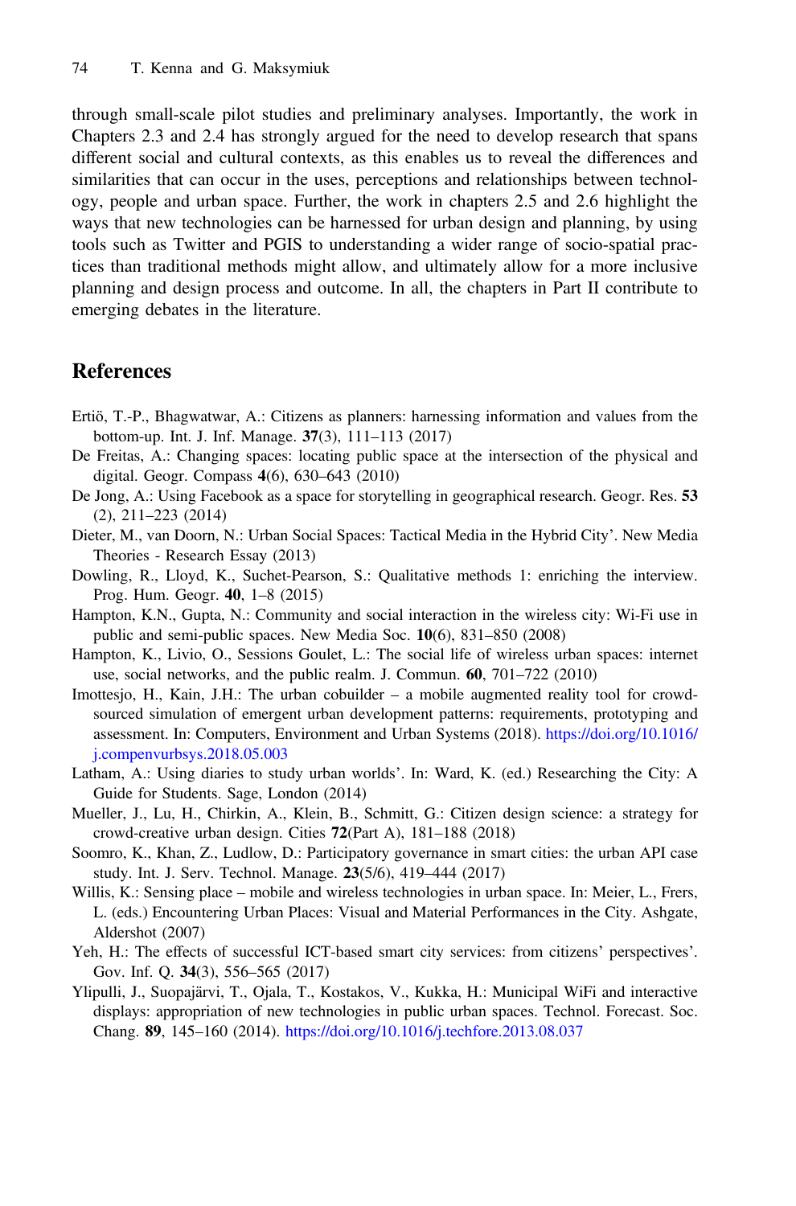<span id="page-6-0"></span>through small-scale pilot studies and preliminary analyses. Importantly, the work in Chapters 2.3 and 2.4 has strongly argued for the need to develop research that spans different social and cultural contexts, as this enables us to reveal the differences and similarities that can occur in the uses, perceptions and relationships between technology, people and urban space. Further, the work in chapters 2.5 and 2.6 highlight the ways that new technologies can be harnessed for urban design and planning, by using tools such as Twitter and PGIS to understanding a wider range of socio-spatial practices than traditional methods might allow, and ultimately allow for a more inclusive planning and design process and outcome. In all, the chapters in Part II contribute to emerging debates in the literature.

#### References

- Ertiö, T.-P., Bhagwatwar, A.: Citizens as planners: harnessing information and values from the bottom-up. Int. J. Inf. Manage. 37(3), 111–113 (2017)
- De Freitas, A.: Changing spaces: locating public space at the intersection of the physical and digital. Geogr. Compass 4(6), 630–643 (2010)
- De Jong, A.: Using Facebook as a space for storytelling in geographical research. Geogr. Res. 53 (2), 211–223 (2014)
- Dieter, M., van Doorn, N.: Urban Social Spaces: Tactical Media in the Hybrid City'. New Media Theories - Research Essay (2013)
- Dowling, R., Lloyd, K., Suchet-Pearson, S.: Qualitative methods 1: enriching the interview. Prog. Hum. Geogr. 40, 1–8 (2015)
- Hampton, K.N., Gupta, N.: Community and social interaction in the wireless city: Wi-Fi use in public and semi-public spaces. New Media Soc. 10(6), 831–850 (2008)
- Hampton, K., Livio, O., Sessions Goulet, L.: The social life of wireless urban spaces: internet use, social networks, and the public realm. J. Commun. 60, 701–722 (2010)
- Imottesjo, H., Kain, J.H.: The urban cobuilder a mobile augmented reality tool for crowdsourced simulation of emergent urban development patterns: requirements, prototyping and assessment. In: Computers, Environment and Urban Systems (2018). [https://doi.org/10.1016/](http://dx.doi.org/10.1016/j.compenvurbsys.2018.05.003) [j.compenvurbsys.2018.05.003](http://dx.doi.org/10.1016/j.compenvurbsys.2018.05.003)
- Latham, A.: Using diaries to study urban worlds'. In: Ward, K. (ed.) Researching the City: A Guide for Students. Sage, London (2014)
- Mueller, J., Lu, H., Chirkin, A., Klein, B., Schmitt, G.: Citizen design science: a strategy for crowd-creative urban design. Cities 72(Part A), 181–188 (2018)
- Soomro, K., Khan, Z., Ludlow, D.: Participatory governance in smart cities: the urban API case study. Int. J. Serv. Technol. Manage. 23(5/6), 419–444 (2017)
- Willis, K.: Sensing place mobile and wireless technologies in urban space. In: Meier, L., Frers, L. (eds.) Encountering Urban Places: Visual and Material Performances in the City. Ashgate, Aldershot (2007)
- Yeh, H.: The effects of successful ICT-based smart city services: from citizens' perspectives'. Gov. Inf. Q. 34(3), 556–565 (2017)
- Ylipulli, J., Suopajärvi, T., Ojala, T., Kostakos, V., Kukka, H.: Municipal WiFi and interactive displays: appropriation of new technologies in public urban spaces. Technol. Forecast. Soc. Chang. 89, 145–160 (2014). [https://doi.org/10.1016/j.techfore.2013.08.037](http://dx.doi.org/10.1016/j.techfore.2013.08.037)